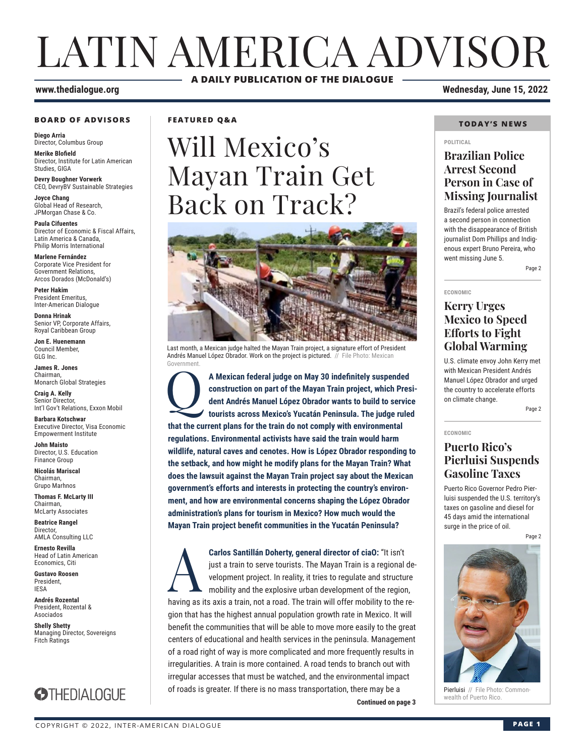# LATIN AMERICA ADVISOR **A DAILY PUBLICATION OF THE DIALOGUE**

#### **BOARD OF ADVISORS**

**Diego Arria** Director, Columbus Group

**Merike Blofield** Director, Institute for Latin American Studies, GIGA

**Devry Boughner Vorwerk** CEO, DevryBV Sustainable Strategies

**Joyce Chang** Global Head of Research, JPMorgan Chase & Co.

**Paula Cifuentes** Director of Economic & Fiscal Affairs, Latin America & Canada, Philip Morris International

**Marlene Fernández** Corporate Vice President for Government Relations, Arcos Dorados (McDonald's)

**Peter Hakim** President Emeritus, Inter-American Dialogue

**Donna Hrinak** Senior VP, Corporate Affairs, Royal Caribbean Group

**Jon E. Huenemann** Council Member, GLG Inc.

**James R. Jones** Chairman, Monarch Global Strategies

**Craig A. Kelly** Senior Director, Int'l Gov't Relations, Exxon Mobil

**Barbara Kotschwar** Executive Director, Visa Economic Empowerment Institute

**John Maisto** Director, U.S. Education Finance Group

**Nicolás Mariscal** Chairman, Grupo Marhnos

**Thomas F. McLarty III** Chairman, McLarty Associates

**Beatrice Rangel**  Director, AMLA Consulting LLC

**Ernesto Revilla**  Head of Latin American Economics, Citi

**Gustavo Roosen** President, IESA

**Andrés Rozental**  President, Rozental & Asociados

**Shelly Shetty** Managing Director, Sovereigns Fitch Ratings



**FEATURED Q&A**

# Will Mexico's Mayan Train Get Back on Track?



Last month, a Mexican judge halted the Mayan Train project, a signature effort of President Andrés Manuel López Obrador. Work on the project is pictured. // File Photo: Mexican Government.

A Mexican federal judge on May 30 indefinitely suspended construction on part of the Mayan Train project, which Pres dent Andrés Manuel López Obrador wants to build to service tourists across Mexico's Yucatán Peninsula. Th **construction on part of the Mayan Train project, which President Andrés Manuel López Obrador wants to build to service tourists across Mexico's Yucatán Peninsula. The judge ruled that the current plans for the train do not comply with environmental regulations. Environmental activists have said the train would harm wildlife, natural caves and cenotes. How is López Obrador responding to the setback, and how might he modify plans for the Mayan Train? What does the lawsuit against the Mayan Train project say about the Mexican government's efforts and interests in protecting the country's environment, and how are environmental concerns shaping the López Obrador administration's plans for tourism in Mexico? How much would the Mayan Train project benefit communities in the Yucatán Peninsula?**

**Carlos Santillán Doherty, general director of ciaO: "It isn't just a train to serve tourists. The Mayan Train is a regional velopment project. In reality, it tries to regulate and structure mobility and the explosive urba** just a train to serve tourists. The Mayan Train is a regional development project. In reality, it tries to regulate and structure mobility and the explosive urban development of the region, having as its axis a train, not a road. The train will offer mobility to the region that has the highest annual population growth rate in Mexico. It will benefit the communities that will be able to move more easily to the great centers of educational and health services in the peninsula. Management of a road right of way is more complicated and more frequently results in irregularities. A train is more contained. A road tends to branch out with irregular accesses that must be watched, and the environmental impact of roads is greater. If there is no mass transportation, there may be a

**Continued on page 3** 

**www.thedialogue.org Wednesday, June 15, 2022**

#### **TODAY'S NEWS**

#### **POLITICAL**

## **Brazilian Police Arrest Second Person in Case of Missing Journalist**

Brazil's federal police arrested a second person in connection with the disappearance of British journalist Dom Phillips and Indigenous expert Bruno Pereira, who went missing June 5.

Page 2

**ECONOMIC**

**ECONOMIC**

## **Kerry Urges Mexico to Speed Efforts to Fight Global Warming**

U.S. climate envoy John Kerry met with Mexican President Andrés Manuel López Obrador and urged the country to accelerate efforts on climate change.

Page 2

## **Puerto Rico's Pierluisi Suspends Gasoline Taxes**

Puerto Rico Governor Pedro Pierluisi suspended the U.S. territory's taxes on gasoline and diesel for 45 days amid the international surge in the price of oil.

Page 2



**Pierluisi** // File Photo: Common-<br>wealth of Puerto Rico.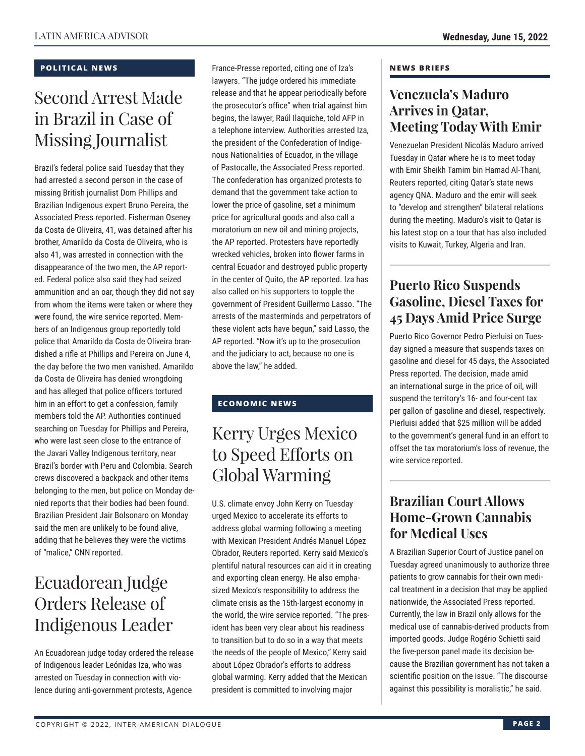### **POLITICAL NEWS**

# Second Arrest Made in Brazil in Case of Missing Journalist

Brazil's federal police said Tuesday that they had arrested a second person in the case of missing British journalist Dom Phillips and Brazilian Indigenous expert Bruno Pereira, the Associated Press reported. Fisherman Oseney da Costa de Oliveira, 41, was detained after his brother, Amarildo da Costa de Oliveira, who is also 41, was arrested in connection with the disappearance of the two men, the AP reported. Federal police also said they had seized ammunition and an oar, though they did not say from whom the items were taken or where they were found, the wire service reported. Members of an Indigenous group reportedly told police that Amarildo da Costa de Oliveira brandished a rifle at Phillips and Pereira on June 4, the day before the two men vanished. Amarildo da Costa de Oliveira has denied wrongdoing and has alleged that police officers tortured him in an effort to get a confession, family members told the AP. Authorities continued searching on Tuesday for Phillips and Pereira, who were last seen close to the entrance of the Javari Valley Indigenous territory, near Brazil's border with Peru and Colombia. Search crews discovered a backpack and other items belonging to the men, but police on Monday denied reports that their bodies had been found. Brazilian President Jair Bolsonaro on Monday said the men are unlikely to be found alive, adding that he believes they were the victims of "malice," CNN reported.

## Ecuadorean Judge Orders Release of Indigenous Leader

An Ecuadorean judge today ordered the release of Indigenous leader Leónidas Iza, who was arrested on Tuesday in connection with violence during anti-government protests, Agence

France-Presse reported, citing one of Iza's lawyers. "The judge ordered his immediate release and that he appear periodically before the prosecutor's office" when trial against him begins, the lawyer, Raúl Ilaquiche, told AFP in a telephone interview. Authorities arrested Iza, the president of the Confederation of Indigenous Nationalities of Ecuador, in the village of Pastocalle, the Associated Press reported. The confederation has organized protests to demand that the government take action to lower the price of gasoline, set a minimum price for agricultural goods and also call a moratorium on new oil and mining projects, the AP reported. Protesters have reportedly wrecked vehicles, broken into flower farms in central Ecuador and destroyed public property in the center of Quito, the AP reported. Iza has also called on his supporters to topple the government of President Guillermo Lasso. "The arrests of the masterminds and perpetrators of these violent acts have begun," said Lasso, the AP reported. "Now it's up to the prosecution and the judiciary to act, because no one is above the law," he added.

## **ECONOMIC NEWS**

# Kerry Urges Mexico to Speed Efforts on Global Warming

U.S. climate envoy John Kerry on Tuesday urged Mexico to accelerate its efforts to address global warming following a meeting with Mexican President Andrés Manuel López Obrador, Reuters reported. Kerry said Mexico's plentiful natural resources can aid it in creating and exporting clean energy. He also emphasized Mexico's responsibility to address the climate crisis as the 15th-largest economy in the world, the wire service reported. "The president has been very clear about his readiness to transition but to do so in a way that meets the needs of the people of Mexico," Kerry said about López Obrador's efforts to address global warming. Kerry added that the Mexican president is committed to involving major

#### **NEWS BRIEFS**

## **Venezuela's Maduro Arrives in Qatar, Meeting Today With Emir**

Venezuelan President Nicolás Maduro arrived Tuesday in Qatar where he is to meet today with Emir Sheikh Tamim bin Hamad Al-Thani, Reuters reported, citing Qatar's state news agency QNA. Maduro and the emir will seek to "develop and strengthen" bilateral relations during the meeting. Maduro's visit to Qatar is his latest stop on a tour that has also included visits to Kuwait, Turkey, Algeria and Iran.

## **Puerto Rico Suspends Gasoline, Diesel Taxes for 45 Days Amid Price Surge**

Puerto Rico Governor Pedro Pierluisi on Tuesday signed a measure that suspends taxes on gasoline and diesel for 45 days, the Associated Press reported. The decision, made amid an international surge in the price of oil, will suspend the territory's 16- and four-cent tax per gallon of gasoline and diesel, respectively. Pierluisi added that \$25 million will be added to the government's general fund in an effort to offset the tax moratorium's loss of revenue, the wire service reported.

## **Brazilian Court Allows Home-Grown Cannabis for Medical Uses**

A Brazilian Superior Court of Justice panel on Tuesday agreed unanimously to authorize three patients to grow cannabis for their own medical treatment in a decision that may be applied nationwide, the Associated Press reported. Currently, the law in Brazil only allows for the medical use of cannabis-derived products from imported goods. Judge Rogério Schietti said the five-person panel made its decision because the Brazilian government has not taken a scientific position on the issue. "The discourse against this possibility is moralistic," he said.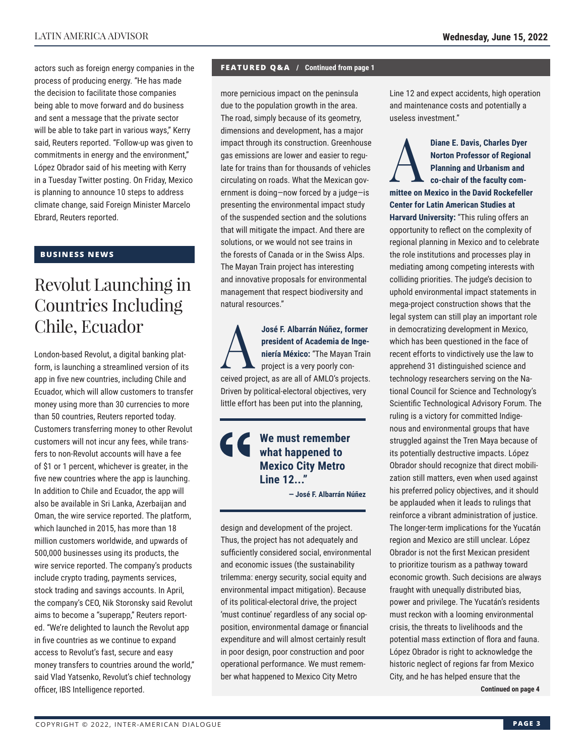actors such as foreign energy companies in the process of producing energy. "He has made the decision to facilitate those companies being able to move forward and do business and sent a message that the private sector will be able to take part in various ways," Kerry said, Reuters reported. "Follow-up was given to commitments in energy and the environment," López Obrador said of his meeting with Kerry in a Tuesday Twitter posting. On Friday, Mexico is planning to announce 10 steps to address climate change, said Foreign Minister Marcelo Ebrard, Reuters reported.

### **BUSINESS NEWS**

# Revolut Launching in Countries Including Chile, Ecuador

London-based Revolut, a digital banking platform, is launching a streamlined version of its app in five new countries, including Chile and Ecuador, which will allow customers to transfer money using more than 30 currencies to more than 50 countries, Reuters reported today. Customers transferring money to other Revolut customers will not incur any fees, while transfers to non-Revolut accounts will have a fee of \$1 or 1 percent, whichever is greater, in the five new countries where the app is launching. In addition to Chile and Ecuador, the app will also be available in Sri Lanka, Azerbaijan and Oman, the wire service reported. The platform, which launched in 2015, has more than 18 million customers worldwide, and upwards of 500,000 businesses using its products, the wire service reported. The company's products include crypto trading, payments services, stock trading and savings accounts. In April, the company's CEO, Nik Storonsky said Revolut aims to become a "superapp," Reuters reported. "We're delighted to launch the Revolut app in five countries as we continue to expand access to Revolut's fast, secure and easy money transfers to countries around the world," said Vlad Yatsenko, Revolut's chief technology officer, IBS Intelligence reported.

#### **FEATURED Q&A / Continued from page 1**

more pernicious impact on the peninsula due to the population growth in the area. The road, simply because of its geometry, dimensions and development, has a major impact through its construction. Greenhouse gas emissions are lower and easier to regulate for trains than for thousands of vehicles circulating on roads. What the Mexican government is doing—now forced by a judge—is presenting the environmental impact study of the suspended section and the solutions that will mitigate the impact. And there are solutions, or we would not see trains in the forests of Canada or in the Swiss Alps. The Mayan Train project has interesting and innovative proposals for environmental management that respect biodiversity and natural resources."

José F. Albarrán Núñez, former<br>
president of Academia de Inge-<br>
project is a very poorly con-<br>
project is a very poorly con**president of Academia de Ingeniería México:** "The Mayan Train project is a very poorly conceived project, as are all of AMLO's projects. Driven by political-electoral objectives, very little effort has been put into the planning,

## **We must remember what happened to Mexico City Metro Line 12..."**

**— José F. Albarrán Núñez**

design and development of the project. Thus, the project has not adequately and sufficiently considered social, environmental and economic issues (the sustainability trilemma: energy security, social equity and environmental impact mitigation). Because of its political-electoral drive, the project 'must continue' regardless of any social opposition, environmental damage or financial expenditure and will almost certainly result in poor design, poor construction and poor operational performance. We must remember what happened to Mexico City Metro

Line 12 and expect accidents, high operation and maintenance costs and potentially a useless investment."

Diane E. Davis, Charles Dyer<br>
Norton Professor of Regiona<br>
Planning and Urbanism and<br>
co-chair of the faculty com-<br>
mittee on Mexico in the David Boskofello **Norton Professor of Regional Planning and Urbanism and co-chair of the faculty committee on Mexico in the David Rockefeller Center for Latin American Studies at Harvard University:** "This ruling offers an opportunity to reflect on the complexity of regional planning in Mexico and to celebrate the role institutions and processes play in mediating among competing interests with colliding priorities. The judge's decision to uphold environmental impact statements in mega-project construction shows that the legal system can still play an important role in democratizing development in Mexico, which has been questioned in the face of recent efforts to vindictively use the law to apprehend 31 distinguished science and technology researchers serving on the National Council for Science and Technology's Scientific Technological Advisory Forum. The ruling is a victory for committed Indigenous and environmental groups that have struggled against the Tren Maya because of its potentially destructive impacts. López Obrador should recognize that direct mobilization still matters, even when used against his preferred policy objectives, and it should be applauded when it leads to rulings that reinforce a vibrant administration of justice. The longer-term implications for the Yucatán region and Mexico are still unclear. López Obrador is not the first Mexican president to prioritize tourism as a pathway toward economic growth. Such decisions are always fraught with unequally distributed bias, power and privilege. The Yucatán's residents must reckon with a looming environmental crisis, the threats to livelihoods and the potential mass extinction of flora and fauna. López Obrador is right to acknowledge the historic neglect of regions far from Mexico City, and he has helped ensure that the

**Continued on page 4**